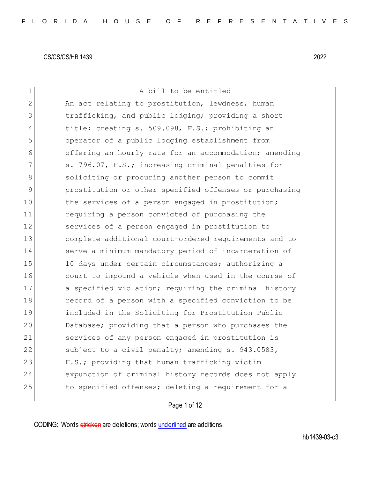| $\mathbf 1$   | A bill to be entitled                                  |
|---------------|--------------------------------------------------------|
| 2             | An act relating to prostitution, lewdness, human       |
| 3             | trafficking, and public lodging; providing a short     |
| 4             | title; creating s. 509.098, F.S.; prohibiting an       |
| 5             | operator of a public lodging establishment from        |
| 6             | offering an hourly rate for an accommodation; amending |
| 7             | s. 796.07, F.S.; increasing criminal penalties for     |
| 8             | soliciting or procuring another person to commit       |
| $\mathcal{G}$ | prostitution or other specified offenses or purchasing |
| 10            | the services of a person engaged in prostitution;      |
| 11            | requiring a person convicted of purchasing the         |
| 12            | services of a person engaged in prostitution to        |
| 13            | complete additional court-ordered requirements and to  |
| 14            | serve a minimum mandatory period of incarceration of   |
| 15            | 10 days under certain circumstances; authorizing a     |
| 16            | court to impound a vehicle when used in the course of  |
| 17            | a specified violation; requiring the criminal history  |
| 18            | record of a person with a specified conviction to be   |
| 19            | included in the Soliciting for Prostitution Public     |
| 20            | Database; providing that a person who purchases the    |
| 21            | services of any person engaged in prostitution is      |
| 22            | subject to a civil penalty; amending s. 943.0583,      |
| 23            | F.S.; providing that human trafficking victim          |
| 24            | expunction of criminal history records does not apply  |
| 25            | to specified offenses; deleting a requirement for a    |
|               |                                                        |

Page 1 of 12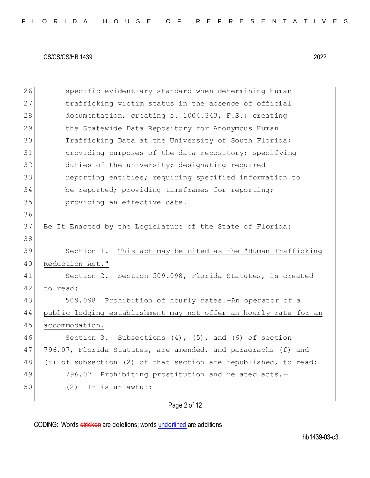26 specific evidentiary standard when determining human 27 trafficking victim status in the absence of official 28 documentation; creating s. 1004.343, F.S.; creating 29 the Statewide Data Repository for Anonymous Human 30 Trafficking Data at the University of South Florida; 31 providing purposes of the data repository; specifying 32 duties of the university; designating required 33 reporting entities; requiring specified information to 34 be reported; providing timeframes for reporting; 35 **providing an effective date.** 36 37 Be It Enacted by the Legislature of the State of Florida: 38 39 Section 1. This act may be cited as the "Human Trafficking 40 Reduction Act." 41 Section 2. Section 509.098, Florida Statutes, is created 42 to read: 43 509.098 Prohibition of hourly rates.—An operator of a 44 public lodging establishment may not offer an hourly rate for an 45 accommodation. 46 Section 3. Subsections (4), (5), and (6) of section 47 796.07, Florida Statutes, are amended, and paragraphs (f) and 48 (i) of subsection (2) of that section are republished, to read: 49 796.07 Prohibiting prostitution and related acts.-50 (2) It is unlawful:

Page 2 of 12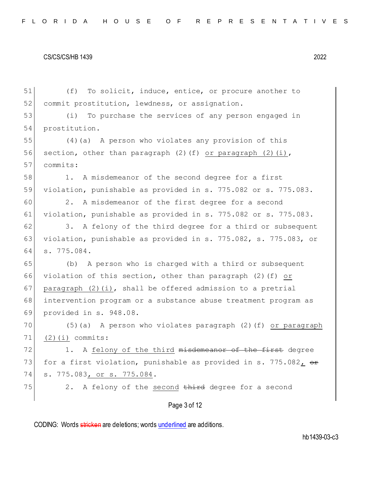Page 3 of 12 51 (f) To solicit, induce, entice, or procure another to 52 commit prostitution, lewdness, or assignation. 53 (i) To purchase the services of any person engaged in 54 prostitution. 55 (4)(a) A person who violates any provision of this 56 section, other than paragraph  $(2)$  (f) or paragraph  $(2)$  (i), 57 commits: 58 1. A misdemeanor of the second degree for a first 59 violation, punishable as provided in s. 775.082 or s. 775.083. 60 2. A misdemeanor of the first degree for a second 61 violation, punishable as provided in s. 775.082 or s. 775.083.  $62$  3. A felony of the third degree for a third or subsequent 63 violation, punishable as provided in s. 775.082, s. 775.083, or 64 s. 775.084. 65 (b) A person who is charged with a third or subsequent 66 violation of this section, other than paragraph (2)(f) or 67 paragraph  $(2)(i)$ , shall be offered admission to a pretrial 68 intervention program or a substance abuse treatment program as 69 provided in s. 948.08. 70 (5)(a) A person who violates paragraph (2)(f) or paragraph 71 (2)(i) commits: 72 1. A felony of the third misdemeanor of the first degree 73 for a first violation, punishable as provided in s. 775.082,  $\theta$ 74 s. 775.083, or s. 775.084.  $75$  2. A felony of the second third degree for a second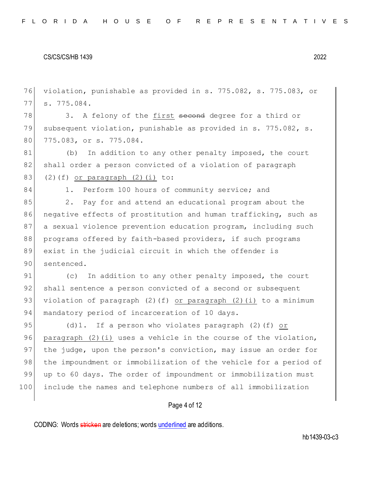76 violation, punishable as provided in s. 775.082, s. 775.083, or

#### CS/CS/CS/HB 1439 2022

77 s. 775.084. 78 3. A felony of the first second degree for a third or 79 subsequent violation, punishable as provided in s. 775.082, s. 80 775.083, or s. 775.084. 81 (b) In addition to any other penalty imposed, the court 82 shall order a person convicted of a violation of paragraph 83 (2)(f) or paragraph  $(2)(i)$  to: 84 1. Perform 100 hours of community service; and 85 2. Pay for and attend an educational program about the 86 negative effects of prostitution and human trafficking, such as 87 a sexual violence prevention education program, including such 88 programs offered by faith-based providers, if such programs 89 exist in the judicial circuit in which the offender is 90 sentenced. 91 (c) In addition to any other penalty imposed, the court 92 shall sentence a person convicted of a second or subsequent 93 violation of paragraph (2)(f) <u>or paragraph (2)(i)</u> to a minimum 94 mandatory period of incarceration of 10 days. 95 (d)1. If a person who violates paragraph (2)(f) or 96 paragraph  $(2)(i)$  uses a vehicle in the course of the violation, 97 the judge, upon the person's conviction, may issue an order for 98 the impoundment or immobilization of the vehicle for a period of 99 up to 60 days. The order of impoundment or immobilization must

100 include the names and telephone numbers of all immobilization

## Page 4 of 12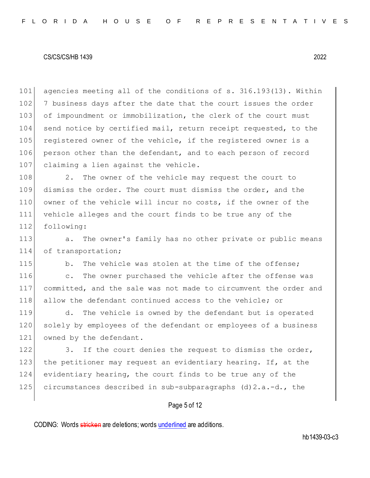101 agencies meeting all of the conditions of s. 316.193(13). Within 102 7 business days after the date that the court issues the order 103 of impoundment or immobilization, the clerk of the court must 104 send notice by certified mail, return receipt requested, to the 105 registered owner of the vehicle, if the registered owner is a 106 person other than the defendant, and to each person of record 107 claiming a lien against the vehicle.

108 2. The owner of the vehicle may request the court to 109 dismiss the order. The court must dismiss the order, and the 110 owner of the vehicle will incur no costs, if the owner of the 111 vehicle alleges and the court finds to be true any of the 112 following:

113 a. The owner's family has no other private or public means 114 of transportation;

115 b. The vehicle was stolen at the time of the offense; 116 c. The owner purchased the vehicle after the offense was 117 committed, and the sale was not made to circumvent the order and 118 allow the defendant continued access to the vehicle; or

119 d. The vehicle is owned by the defendant but is operated 120 solely by employees of the defendant or employees of a business 121 owned by the defendant.

122 3. If the court denies the request to dismiss the order, 123 the petitioner may request an evidentiary hearing. If, at the 124 evidentiary hearing, the court finds to be true any of the 125 circumstances described in sub-subparagraphs  $(d) 2.a.-d.$ , the

# Page 5 of 12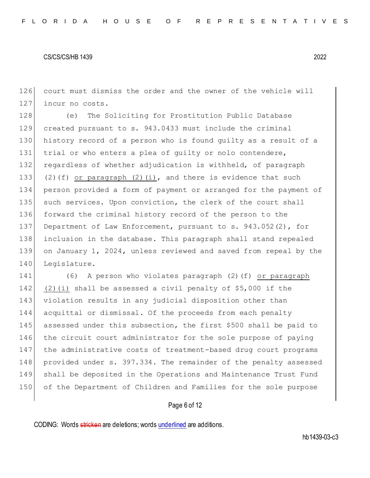126 court must dismiss the order and the owner of the vehicle will 127 incur no costs.

 (e) The Soliciting for Prostitution Public Database created pursuant to s. 943.0433 must include the criminal history record of a person who is found guilty as a result of a 131 trial or who enters a plea of quilty or nolo contendere, regardless of whether adjudication is withheld, of paragraph 133 (2)(f) or paragraph (2)(i), and there is evidence that such person provided a form of payment or arranged for the payment of 135 such services. Upon conviction, the clerk of the court shall forward the criminal history record of the person to the Department of Law Enforcement, pursuant to s. 943.052(2), for inclusion in the database. This paragraph shall stand repealed on January 1, 2024, unless reviewed and saved from repeal by the 140 Legislature.

 (6) A person who violates paragraph (2)(f) or paragraph 142 (2)(i) shall be assessed a civil penalty of  $$5,000$  if the violation results in any judicial disposition other than acquittal or dismissal. Of the proceeds from each penalty 145 assessed under this subsection, the first \$500 shall be paid to the circuit court administrator for the sole purpose of paying the administrative costs of treatment-based drug court programs 148 provided under s. 397.334. The remainder of the penalty assessed shall be deposited in the Operations and Maintenance Trust Fund of the Department of Children and Families for the sole purpose

## Page 6 of 12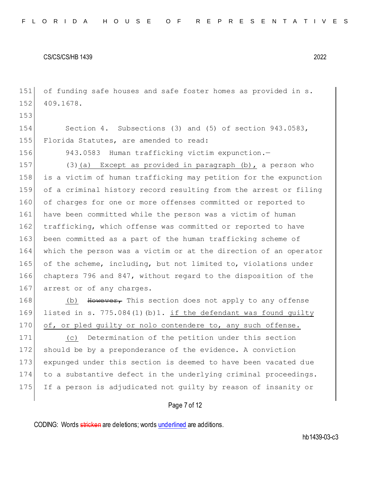151 of funding safe houses and safe foster homes as provided in s. 152 409.1678.

154 Section 4. Subsections (3) and (5) of section 943.0583, 155 Florida Statutes, are amended to read:

153

156 943.0583 Human trafficking victim expunction.-

157 (3)(a) Except as provided in paragraph (b), a person who 158 is a victim of human trafficking may petition for the expunction 159 of a criminal history record resulting from the arrest or filing 160 of charges for one or more offenses committed or reported to 161 have been committed while the person was a victim of human 162 trafficking, which offense was committed or reported to have 163 been committed as a part of the human trafficking scheme of 164 which the person was a victim or at the direction of an operator 165 of the scheme, including, but not limited to, violations under 166 chapters 796 and 847, without regard to the disposition of the 167 arrest or of any charges.

168 (b) However, This section does not apply to any offense 169 listed in s. 775.084(1)(b)1. if the defendant was found guilty 170 of, or pled guilty or nolo contendere to, any such offense.

171 (c) Determination of the petition under this section 172 should be by a preponderance of the evidence. A conviction 173 expunged under this section is deemed to have been vacated due 174 to a substantive defect in the underlying criminal proceedings. 175 If a person is adjudicated not guilty by reason of insanity or

## Page 7 of 12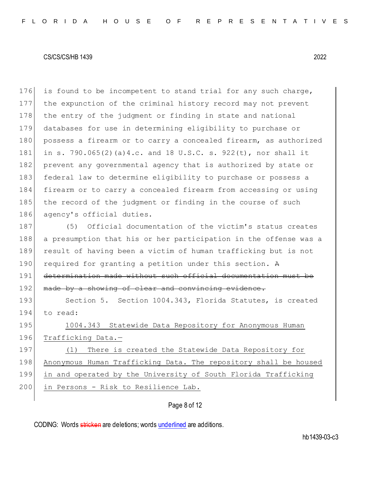176 is found to be incompetent to stand trial for any such charge, 177 the expunction of the criminal history record may not prevent 178 the entry of the judgment or finding in state and national 179 databases for use in determining eligibility to purchase or 180 possess a firearm or to carry a concealed firearm, as authorized 181 in s. 790.065(2)(a)4.c. and 18 U.S.C. s. 922(t), nor shall it 182 prevent any governmental agency that is authorized by state or 183 federal law to determine eligibility to purchase or possess a 184 firearm or to carry a concealed firearm from accessing or using 185 the record of the judgment or finding in the course of such 186 agency's official duties.

187 (5) Official documentation of the victim's status creates 188 a presumption that his or her participation in the offense was a 189 result of having been a victim of human trafficking but is not 190 required for granting a petition under this section. A 191 determination made without such official documentation must be 192 made by a showing of clear and convincing evidence.

193 Section 5. Section 1004.343, Florida Statutes, is created 194 to read:

195 1004.343 Statewide Data Repository for Anonymous Human 196 Trafficking Data.-197 (1) There is created the Statewide Data Repository for 198 Anonymous Human Trafficking Data. The repository shall be housed

199 in and operated by the University of South Florida Trafficking 200 in Persons - Risk to Resilience Lab.

# Page 8 of 12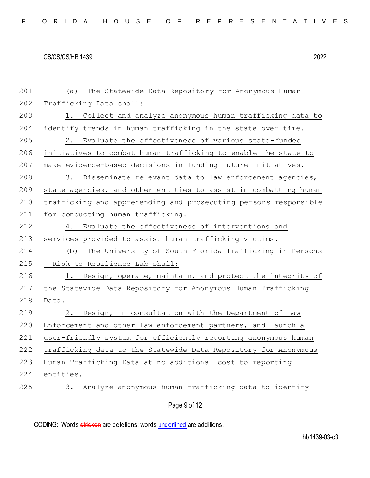| 201 | The Statewide Data Repository for Anonymous Human<br>(a)         |
|-----|------------------------------------------------------------------|
| 202 | Trafficking Data shall:                                          |
| 203 | Collect and analyze anonymous human trafficking data to<br>1.    |
| 204 | identify trends in human trafficking in the state over time.     |
| 205 | 2.<br>Evaluate the effectiveness of various state-funded         |
| 206 | initiatives to combat human trafficking to enable the state to   |
| 207 | make evidence-based decisions in funding future initiatives.     |
| 208 | Disseminate relevant data to law enforcement agencies,<br>3.     |
| 209 | state agencies, and other entities to assist in combatting human |
| 210 | trafficking and apprehending and prosecuting persons responsible |
| 211 | for conducting human trafficking.                                |
| 212 | Evaluate the effectiveness of interventions and<br>4.            |
| 213 | services provided to assist human trafficking victims.           |
| 214 | The University of South Florida Trafficking in Persons<br>(b)    |
| 215 | - Risk to Resilience Lab shall:                                  |
| 216 | 1. Design, operate, maintain, and protect the integrity of       |
| 217 | the Statewide Data Repository for Anonymous Human Trafficking    |
| 218 | Data.                                                            |
| 219 | Design, in consultation with the Department of Law<br>2.         |
| 220 | Enforcement and other law enforcement partners, and launch a     |
| 221 | user-friendly system for efficiently reporting anonymous human   |
| 222 | trafficking data to the Statewide Data Repository for Anonymous  |
| 223 | Human Trafficking Data at no additional cost to reporting        |
| 224 | entities.                                                        |
| 225 | Analyze anonymous human trafficking data to identify<br>3.       |
|     | Page 9 of 12                                                     |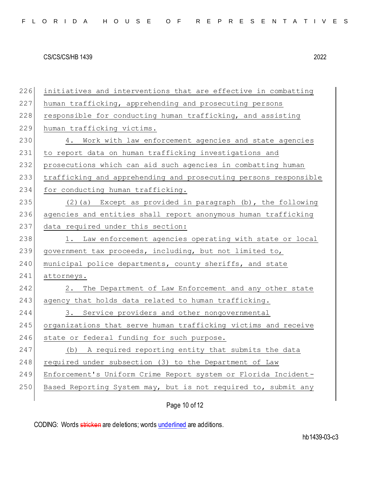226 initiatives and interventions that are effective in combatting 227 human trafficking, apprehending and prosecuting persons 228 responsible for conducting human trafficking, and assisting 229 human trafficking victims. 230 4. Work with law enforcement agencies and state agencies 231 to report data on human trafficking investigations and 232 prosecutions which can aid such agencies in combatting human 233 trafficking and apprehending and prosecuting persons responsible 234 for conducting human trafficking. 235  $(2)(a)$  Except as provided in paragraph (b), the following 236 agencies and entities shall report anonymous human trafficking 237 data required under this section: 238 1. Law enforcement agencies operating with state or local 239 government tax proceeds, including, but not limited to, 240 municipal police departments, county sheriffs, and state 241 attorneys. 242 2. The Department of Law Enforcement and any other state 243 agency that holds data related to human trafficking. 244 3. Service providers and other nongovernmental 245 organizations that serve human trafficking victims and receive 246 state or federal funding for such purpose. 247 (b) A required reporting entity that submits the data 248 required under subsection (3) to the Department of Law 249 Enforcement's Uniform Crime Report system or Florida Incident-250 Based Reporting System may, but is not required to, submit any

Page 10 of 12

CODING: Words stricken are deletions; words underlined are additions.

hb1439-03-c3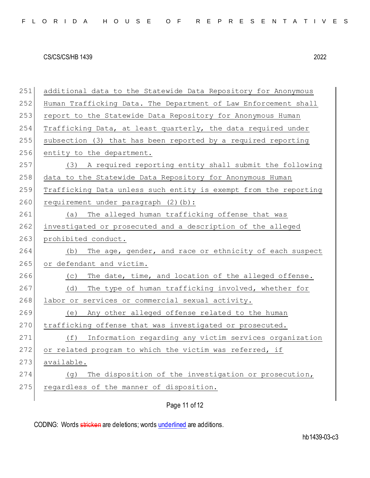| 251 | additional data to the Statewide Data Repository for Anonymous   |
|-----|------------------------------------------------------------------|
| 252 | Human Trafficking Data. The Department of Law Enforcement shall  |
| 253 | report to the Statewide Data Repository for Anonymous Human      |
| 254 | Trafficking Data, at least quarterly, the data required under    |
| 255 | subsection (3) that has been reported by a required reporting    |
| 256 | entity to the department.                                        |
| 257 | (3) A required reporting entity shall submit the following       |
| 258 | data to the Statewide Data Repository for Anonymous Human        |
| 259 | Trafficking Data unless such entity is exempt from the reporting |
| 260 | requirement under paragraph (2)(b):                              |
| 261 | The alleged human trafficking offense that was<br>(a)            |
| 262 | investigated or prosecuted and a description of the alleged      |
| 263 | prohibited conduct.                                              |
| 264 | The age, gender, and race or ethnicity of each suspect<br>(b)    |
| 265 | or defendant and victim.                                         |
| 266 | The date, time, and location of the alleged offense.<br>(C)      |
| 267 | The type of human trafficking involved, whether for<br>(d)       |
| 268 | labor or services or commercial sexual activity.                 |
| 269 | (e) Any other alleged offense related to the human               |
| 270 | trafficking offense that was investigated or prosecuted.         |
| 271 | Information regarding any victim services organization<br>(f)    |
| 272 | or related program to which the victim was referred, if          |
| 273 | available.                                                       |
| 274 | The disposition of the investigation or prosecution,<br>(g)      |
| 275 | regardless of the manner of disposition.                         |
|     |                                                                  |
|     | Page 11 of 12                                                    |